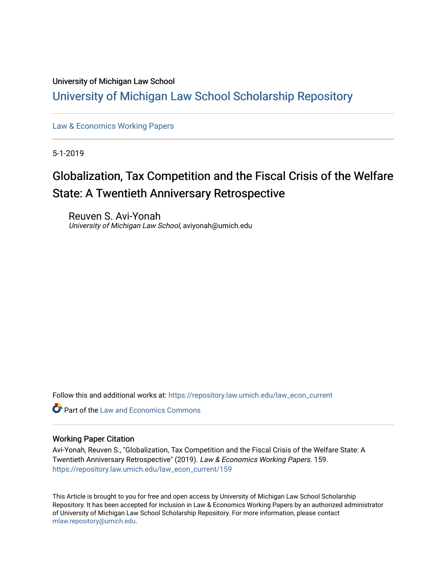#### University of Michigan Law School

# [University of Michigan Law School Scholarship Repository](https://repository.law.umich.edu/)

[Law & Economics Working Papers](https://repository.law.umich.edu/law_econ_current)

5-1-2019

# Globalization, Tax Competition and the Fiscal Crisis of the Welfare State: A Twentieth Anniversary Retrospective

Reuven S. Avi-Yonah University of Michigan Law School, aviyonah@umich.edu

Follow this and additional works at: [https://repository.law.umich.edu/law\\_econ\\_current](https://repository.law.umich.edu/law_econ_current?utm_source=repository.law.umich.edu%2Flaw_econ_current%2F159&utm_medium=PDF&utm_campaign=PDFCoverPages) 

**C** Part of the Law and Economics Commons

#### Working Paper Citation

Avi-Yonah, Reuven S., "Globalization, Tax Competition and the Fiscal Crisis of the Welfare State: A Twentieth Anniversary Retrospective" (2019). Law & Economics Working Papers. 159. [https://repository.law.umich.edu/law\\_econ\\_current/159](https://repository.law.umich.edu/law_econ_current/159?utm_source=repository.law.umich.edu%2Flaw_econ_current%2F159&utm_medium=PDF&utm_campaign=PDFCoverPages) 

This Article is brought to you for free and open access by University of Michigan Law School Scholarship Repository. It has been accepted for inclusion in Law & Economics Working Papers by an authorized administrator of University of Michigan Law School Scholarship Repository. For more information, please contact [mlaw.repository@umich.edu.](mailto:mlaw.repository@umich.edu)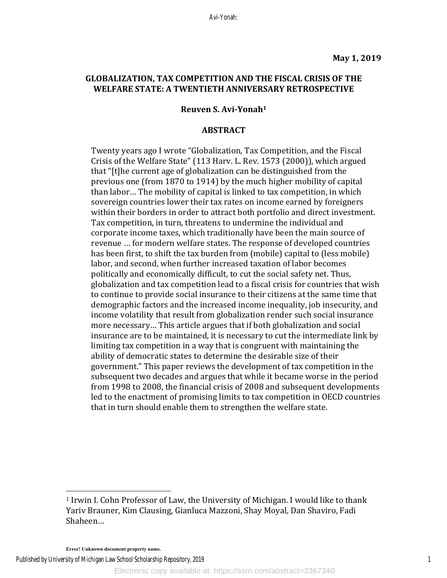#### **GLOBALIZATION, TAX COMPETITION AND THE FISCAL CRISIS OF THE** WELFARE STATE: A TWENTIETH ANNIVERSARY RETROSPECTIVE

#### **Reuven S. Avi-Yonah1**

#### **ABSTRACT**

Twenty years ago I wrote "Globalization, Tax Competition, and the Fiscal Crisis of the Welfare State" (113 Harv. L. Rev. 1573 (2000)), which argued that "[t]he current age of globalization can be distinguished from the previous one (from 1870 to 1914) by the much higher mobility of capital than labor... The mobility of capital is linked to tax competition, in which sovereign countries lower their tax rates on income earned by foreigners within their borders in order to attract both portfolio and direct investment. Tax competition, in turn, threatens to undermine the individual and corporate income taxes, which traditionally have been the main source of revenue ... for modern welfare states. The response of developed countries has been first, to shift the tax burden from (mobile) capital to (less mobile) labor, and second, when further increased taxation of labor becomes politically and economically difficult, to cut the social safety net. Thus, globalization and tax competition lead to a fiscal crisis for countries that wish to continue to provide social insurance to their citizens at the same time that demographic factors and the increased income inequality, job insecurity, and income volatility that result from globalization render such social insurance more necessary... This article argues that if both globalization and social insurance are to be maintained, it is necessary to cut the intermediate link by limiting tax competition in a way that is congruent with maintaining the ability of democratic states to determine the desirable size of their government." This paper reviews the development of tax competition in the subsequent two decades and argues that while it became worse in the period from 1998 to 2008, the financial crisis of 2008 and subsequent developments led to the enactment of promising limits to tax competition in OECD countries that in turn should enable them to strengthen the welfare state.

**Error! Unknown document property name.**

 

Published by University of Michigan Law School Scholarship Repository, 2019

 $1$  Irwin I. Cohn Professor of Law, the University of Michigan. I would like to thank Yariv Brauner, Kim Clausing, Gianluca Mazzoni, Shay Moyal, Dan Shaviro, Fadi Shaheen…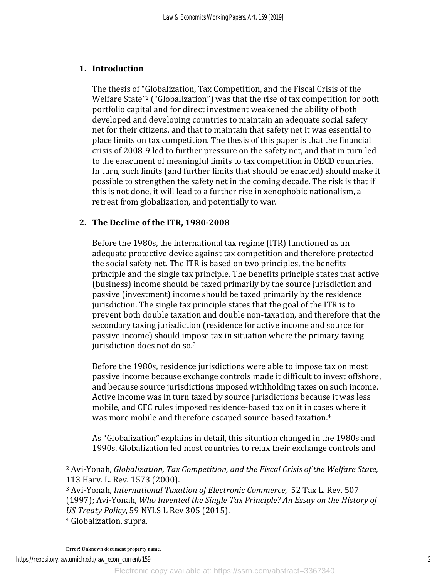# **1. Introduction**

The thesis of "Globalization, Tax Competition, and the Fiscal Crisis of the Welfare State"<sup>2</sup> ("Globalization") was that the rise of tax competition for both portfolio capital and for direct investment weakened the ability of both developed and developing countries to maintain an adequate social safety net for their citizens, and that to maintain that safety net it was essential to place limits on tax competition. The thesis of this paper is that the financial crisis of 2008-9 led to further pressure on the safety net, and that in turn led to the enactment of meaningful limits to tax competition in OECD countries. In turn, such limits (and further limits that should be enacted) should make it possible to strengthen the safety net in the coming decade. The risk is that if this is not done, it will lead to a further rise in xenophobic nationalism, a retreat from globalization, and potentially to war.

# **2. The Decline of the ITR, 1980-2008**

Before the 1980s, the international tax regime (ITR) functioned as an adequate protective device against tax competition and therefore protected the social safety net. The ITR is based on two principles, the benefits principle and the single tax principle. The benefits principle states that active (business) income should be taxed primarily by the source jurisdiction and passive (investment) income should be taxed primarily by the residence jurisdiction. The single tax principle states that the goal of the ITR is to prevent both double taxation and double non-taxation, and therefore that the secondary taxing jurisdiction (residence for active income and source for passive income) should impose tax in situation where the primary taxing jurisdiction does not do so. $3$ 

Before the 1980s, residence jurisdictions were able to impose tax on most passive income because exchange controls made it difficult to invest offshore, and because source jurisdictions imposed withholding taxes on such income. Active income was in turn taxed by source jurisdictions because it was less mobile, and CFC rules imposed residence-based tax on it in cases where it was more mobile and therefore escaped source-based taxation.<sup>4</sup>

As "Globalization" explains in detail, this situation changed in the 1980s and 1990s. Globalization led most countries to relax their exchange controls and

<sup>4</sup> Globalization, supra.

<sup>&</sup>lt;sup>2</sup> Avi-Yonah, *Globalization, Tax Competition, and the Fiscal Crisis of the Welfare State,* 113 Harv. L. Rev. 1573 (2000).

<sup>&</sup>lt;sup>3</sup> Avi-Yonah, *International Taxation of Electronic Commerce*, 52 Tax L. Rev. 507 (1997); Avi-Yonah, *Who Invented the Single Tax Principle?* An Essay on the History of *US Treaty Policy*, 59 NYLS L Rev 305 (2015).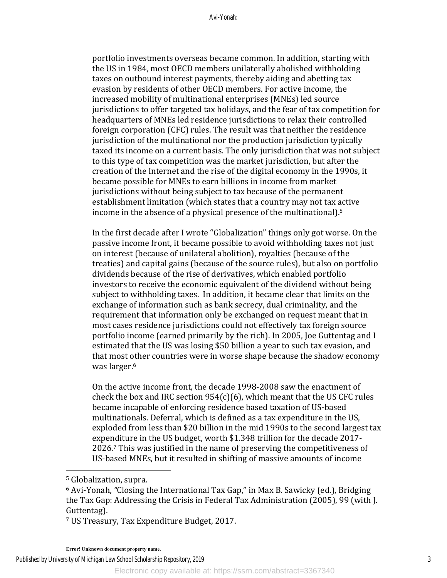portfolio investments overseas became common. In addition, starting with the US in 1984, most OECD members unilaterally abolished withholding taxes on outbound interest payments, thereby aiding and abetting tax evasion by residents of other OECD members. For active income, the increased mobility of multinational enterprises (MNEs) led source jurisdictions to offer targeted tax holidays, and the fear of tax competition for headquarters of MNEs led residence jurisdictions to relax their controlled foreign corporation (CFC) rules. The result was that neither the residence jurisdiction of the multinational nor the production jurisdiction typically taxed its income on a current basis. The only jurisdiction that was not subject to this type of tax competition was the market jurisdiction, but after the creation of the Internet and the rise of the digital economy in the 1990s, it became possible for MNEs to earn billions in income from market jurisdictions without being subject to tax because of the permanent establishment limitation (which states that a country may not tax active income in the absence of a physical presence of the multinational).<sup>5</sup>

In the first decade after I wrote "Globalization" things only got worse. On the passive income front, it became possible to avoid withholding taxes not just on interest (because of unilateral abolition), royalties (because of the treaties) and capital gains (because of the source rules), but also on portfolio dividends because of the rise of derivatives, which enabled portfolio investors to receive the economic equivalent of the dividend without being subject to withholding taxes. In addition, it became clear that limits on the exchange of information such as bank secrecy, dual criminality, and the requirement that information only be exchanged on request meant that in most cases residence jurisdictions could not effectively tax foreign source portfolio income (earned primarily by the rich). In 2005, Joe Guttentag and I estimated that the US was losing \$50 billion a year to such tax evasion, and that most other countries were in worse shape because the shadow economy was larger.<sup>6</sup>

On the active income front, the decade 1998-2008 saw the enactment of check the box and IRC section  $954(c)(6)$ , which meant that the US CFC rules became incapable of enforcing residence based taxation of US-based multinationals. Deferral, which is defined as a tax expenditure in the US, exploded from less than \$20 billion in the mid 1990s to the second largest tax expenditure in the US budget, worth \$1.348 trillion for the decade 2017-2026.<sup>7</sup> This was justified in the name of preserving the competitiveness of US-based MNEs, but it resulted in shifting of massive amounts of income

 

<sup>7</sup> US Treasury, Tax Expenditure Budget, 2017.

Published by University of Michigan Law School Scholarship Repository, 2019

<sup>&</sup>lt;sup>5</sup> Globalization, supra.

<sup>&</sup>lt;sup>6</sup> Avi-Yonah, "Closing the International Tax Gap," in Max B. Sawicky (ed.), Bridging the Tax Gap: Addressing the Crisis in Federal Tax Administration (2005), 99 (with J. Guttentag).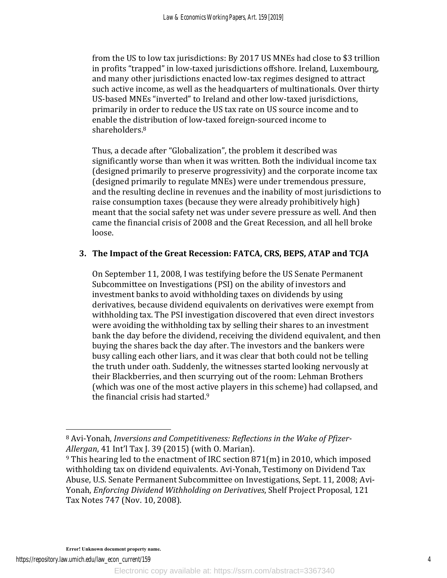from the US to low tax jurisdictions: By 2017 US MNEs had close to \$3 trillion in profits "trapped" in low-taxed jurisdictions offshore. Ireland, Luxembourg, and many other jurisdictions enacted low-tax regimes designed to attract such active income, as well as the headquarters of multinationals. Over thirty US-based MNEs "inverted" to Ireland and other low-taxed jurisdictions, primarily in order to reduce the US tax rate on US source income and to enable the distribution of low-taxed foreign-sourced income to shareholders.8

Thus, a decade after "Globalization", the problem it described was significantly worse than when it was written. Both the individual income tax (designed primarily to preserve progressivity) and the corporate income tax (designed primarily to regulate MNEs) were under tremendous pressure, and the resulting decline in revenues and the inability of most jurisdictions to raise consumption taxes (because they were already prohibitively high) meant that the social safety net was under severe pressure as well. And then came the financial crisis of 2008 and the Great Recession, and all hell broke loose. 

### **3. The Impact of the Great Recession: FATCA, CRS, BEPS, ATAP and TCJA**

On September 11, 2008, I was testifying before the US Senate Permanent Subcommittee on Investigations (PSI) on the ability of investors and investment banks to avoid withholding taxes on dividends by using derivatives, because dividend equivalents on derivatives were exempt from withholding tax. The PSI investigation discovered that even direct investors were avoiding the withholding tax by selling their shares to an investment bank the day before the dividend, receiving the dividend equivalent, and then buying the shares back the day after. The investors and the bankers were busy calling each other liars, and it was clear that both could not be telling the truth under oath. Suddenly, the witnesses started looking nervously at their Blackberries, and then scurrying out of the room: Lehman Brothers (which was one of the most active players in this scheme) had collapsed, and the financial crisis had started. $9$ 

<sup>&</sup>lt;sup>8</sup> Avi-Yonah, *Inversions and Competitiveness: Reflections in the Wake of Pfizer-Allergan*, 41 Int'l Tax J. 39 (2015) (with O. Marian).

 $9$  This hearing led to the enactment of IRC section 871(m) in 2010, which imposed withholding tax on dividend equivalents. Avi-Yonah, Testimony on Dividend Tax Abuse, U.S. Senate Permanent Subcommittee on Investigations, Sept. 11, 2008; Avi-Yonah, *Enforcing Dividend Withholding on Derivatives*, Shelf Project Proposal, 121 Tax Notes 747 (Nov. 10, 2008).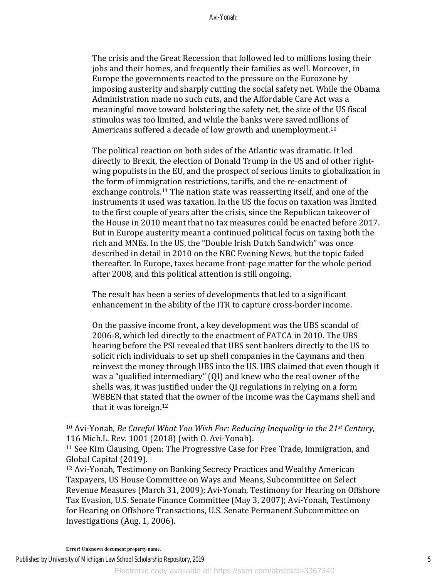The crisis and the Great Recession that followed led to millions losing their jobs and their homes, and frequently their families as well. Moreover, in Europe the governments reacted to the pressure on the Eurozone by imposing austerity and sharply cutting the social safety net. While the Obama Administration made no such cuts, and the Affordable Care Act was a meaningful move toward bolstering the safety net, the size of the US fiscal stimulus was too limited, and while the banks were saved millions of Americans suffered a decade of low growth and unemployment.<sup>10</sup>

The political reaction on both sides of the Atlantic was dramatic. It led directly to Brexit, the election of Donald Trump in the US and of other rightwing populists in the EU, and the prospect of serious limits to globalization in the form of immigration restrictions, tariffs, and the re-enactment of exchange controls.<sup>11</sup> The nation state was reasserting itself, and one of the instruments it used was taxation. In the US the focus on taxation was limited to the first couple of years after the crisis, since the Republican takeover of the House in 2010 meant that no tax measures could be enacted before 2017. But in Europe austerity meant a continued political focus on taxing both the rich and MNEs. In the US, the "Double Irish Dutch Sandwich" was once described in detail in 2010 on the NBC Evening News, but the topic faded thereafter. In Europe, taxes became front-page matter for the whole period after 2008, and this political attention is still ongoing.

The result has been a series of developments that led to a significant enhancement in the ability of the ITR to capture cross-border income.

On the passive income front, a key development was the UBS scandal of 2006-8, which led directly to the enactment of FATCA in 2010. The UBS hearing before the PSI revealed that UBS sent bankers directly to the US to solicit rich individuals to set up shell companies in the Caymans and then reinvest the money through UBS into the US. UBS claimed that even though it was a "qualified intermediary"  $\left(QI\right)$  and knew who the real owner of the shells was, it was justified under the QI regulations in relying on a form W8BEN that stated that the owner of the income was the Caymans shell and that it was foreign. $12$ 

<sup>12</sup> Avi-Yonah, Testimony on Banking Secrecy Practices and Wealthy American Taxpayers, US House Committee on Ways and Means, Subcommittee on Select Revenue Measures (March 31, 2009); Avi-Yonah, Testimony for Hearing on Offshore Tax Evasion, U.S. Senate Finance Committee (May 3, 2007); Avi-Yonah, Testimony for Hearing on Offshore Transactions, U.S. Senate Permanent Subcommittee on Investigations (Aug. 1, 2006).

<sup>&</sup>lt;sup>10</sup> Avi-Yonah, *Be Careful What You Wish For: Reducing Inequality in the 21<sup>st</sup> Century,* 116 Mich.L. Rev. 1001 (2018) (with O. Avi-Yonah).

<sup>&</sup>lt;sup>11</sup> See Kim Clausing, Open: The Progressive Case for Free Trade, Immigration, and Global Capital (2019).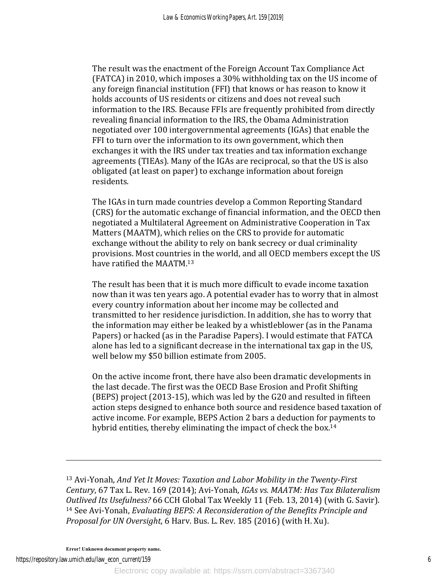The result was the enactment of the Foreign Account Tax Compliance Act (FATCA) in 2010, which imposes a 30% withholding tax on the US income of any foreign financial institution (FFI) that knows or has reason to know it holds accounts of US residents or citizens and does not reveal such information to the IRS. Because FFIs are frequently prohibited from directly revealing financial information to the IRS, the Obama Administration negotiated over 100 intergovernmental agreements (IGAs) that enable the FFI to turn over the information to its own government, which then exchanges it with the IRS under tax treaties and tax information exchange agreements (TIEAs). Many of the IGAs are reciprocal, so that the US is also obligated (at least on paper) to exchange information about foreign residents.

The IGAs in turn made countries develop a Common Reporting Standard (CRS) for the automatic exchange of financial information, and the OECD then negotiated a Multilateral Agreement on Administrative Cooperation in Tax Matters (MAATM), which relies on the CRS to provide for automatic exchange without the ability to rely on bank secrecy or dual criminality provisions. Most countries in the world, and all OECD members except the US have ratified the MAATM.<sup>13</sup>

The result has been that it is much more difficult to evade income taxation now than it was ten years ago. A potential evader has to worry that in almost every country information about her income may be collected and transmitted to her residence jurisdiction. In addition, she has to worry that the information may either be leaked by a whistleblower (as in the Panama Papers) or hacked (as in the Paradise Papers). I would estimate that FATCA alone has led to a significant decrease in the international tax gap in the US, well below my \$50 billion estimate from 2005.

On the active income front, there have also been dramatic developments in the last decade. The first was the OECD Base Erosion and Profit Shifting (BEPS) project  $(2013-15)$ , which was led by the G20 and resulted in fifteen action steps designed to enhance both source and residence based taxation of active income. For example, BEPS Action 2 bars a deduction for payments to hybrid entities, thereby eliminating the impact of check the box.<sup>14</sup>

<sup>13</sup> Avi-Yonah, *And Yet It Moves: Taxation and Labor Mobility in the Twenty-First Century*, 67 Tax L. Rev. 169 (2014); Avi-Yonah, *IGAs vs. MAATM: Has Tax Bilateralism Outlived Its Usefulness?* 66 CCH Global Tax Weekly 11 (Feb. 13, 2014) (with G. Savir). <sup>14</sup> See Avi-Yonah, *Evaluating BEPS: A Reconsideration of the Benefits Principle and Proposal for UN Oversight*, 6 Harv. Bus. L. Rev. 185 (2016) (with H. Xu).

<u> 1989 - Andrea San Andrea San Andrea San Andrea San Andrea San Andrea San Andrea San Andrea San Andrea San An</u>

**Error! Unknown document property name.**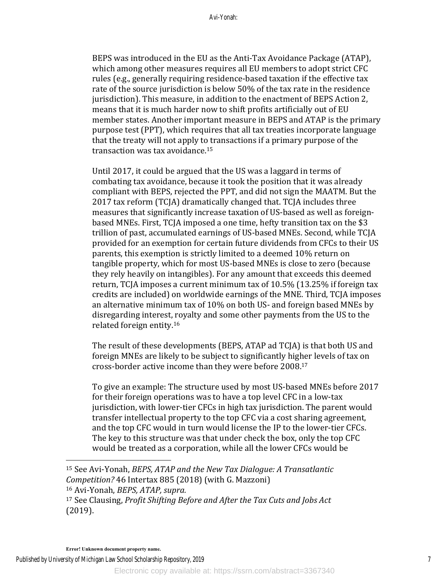BEPS was introduced in the EU as the Anti-Tax Avoidance Package (ATAP), which among other measures requires all EU members to adopt strict CFC rules (e.g., generally requiring residence-based taxation if the effective tax rate of the source jurisdiction is below 50% of the tax rate in the residence jurisdiction). This measure, in addition to the enactment of BEPS Action 2, means that it is much harder now to shift profits artificially out of EU member states. Another important measure in BEPS and ATAP is the primary purpose test (PPT), which requires that all tax treaties incorporate language that the treaty will not apply to transactions if a primary purpose of the transaction was tax avoidance.<sup>15</sup>

Until 2017, it could be argued that the US was a laggard in terms of combating tax avoidance, because it took the position that it was already compliant with BEPS, rejected the PPT, and did not sign the MAATM. But the 2017 tax reform (TCJA) dramatically changed that. TCJA includes three measures that significantly increase taxation of US-based as well as foreignbased MNEs. First, TCJA imposed a one time, hefty transition tax on the \$3 trillion of past, accumulated earnings of US-based MNEs. Second, while TCJA provided for an exemption for certain future dividends from CFCs to their US parents, this exemption is strictly limited to a deemed 10% return on tangible property, which for most US-based MNEs is close to zero (because they rely heavily on intangibles). For any amount that exceeds this deemed return, TCJA imposes a current minimum tax of  $10.5\%$  (13.25% if foreign tax credits are included) on worldwide earnings of the MNE. Third, TCJA imposes an alternative minimum tax of 10% on both US- and foreign based MNEs by disregarding interest, royalty and some other payments from the US to the related foreign entity.<sup>16</sup>

The result of these developments (BEPS, ATAP ad TCJA) is that both US and foreign MNEs are likely to be subject to significantly higher levels of tax on cross-border active income than they were before 2008.<sup>17</sup>

To give an example: The structure used by most US-based MNEs before 2017 for their foreign operations was to have a top level CFC in a low-tax jurisdiction, with lower-tier CFCs in high tax jurisdiction. The parent would transfer intellectual property to the top CFC via a cost sharing agreement, and the top CFC would in turn would license the IP to the lower-tier CFCs. The key to this structure was that under check the box, only the top CFC would be treated as a corporation, while all the lower CFCs would be

 

Published by University of Michigan Law School Scholarship Repository, 2019

<sup>&</sup>lt;sup>15</sup> See Avi-Yonah, *BEPS, ATAP and the New Tax Dialogue: A Transatlantic Competition?* 46 Intertax 885 (2018) (with G. Mazzoni) 16 Avi-Yonah, *BEPS, ATAP*, *supra.* 

<sup>&</sup>lt;sup>17</sup> See Clausing, *Profit Shifting Before and After the Tax Cuts and Jobs Act* (2019).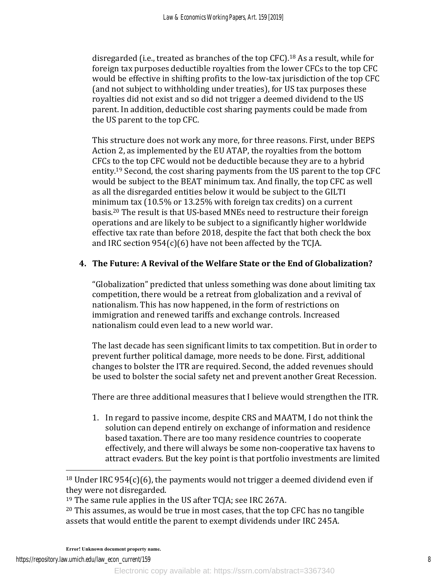disregarded (i.e., treated as branches of the top CFC).<sup>18</sup> As a result, while for foreign tax purposes deductible royalties from the lower CFCs to the top CFC would be effective in shifting profits to the low-tax jurisdiction of the top CFC (and not subject to withholding under treaties), for US tax purposes these royalties did not exist and so did not trigger a deemed dividend to the US parent. In addition, deductible cost sharing payments could be made from the US parent to the top CFC.

This structure does not work any more, for three reasons. First, under BEPS Action 2, as implemented by the EU ATAP, the royalties from the bottom CFCs to the top CFC would not be deductible because they are to a hybrid entity.<sup>19</sup> Second, the cost sharing payments from the US parent to the top CFC would be subject to the BEAT minimum tax. And finally, the top CFC as well as all the disregarded entities below it would be subject to the GILTI minimum tax  $(10.5\% \text{ or } 13.25\% \text{ with foreign tax credits})$  on a current basis.<sup>20</sup> The result is that US-based MNEs need to restructure their foreign operations and are likely to be subject to a significantly higher worldwide effective tax rate than before 2018, despite the fact that both check the box and IRC section  $954(c)(6)$  have not been affected by the TCJA.

# **4.** The Future: A Revival of the Welfare State or the End of Globalization?

"Globalization" predicted that unless something was done about limiting tax competition, there would be a retreat from globalization and a revival of nationalism. This has now happened, in the form of restrictions on immigration and renewed tariffs and exchange controls. Increased nationalism could even lead to a new world war.

The last decade has seen significant limits to tax competition. But in order to prevent further political damage, more needs to be done. First, additional changes to bolster the ITR are required. Second, the added revenues should be used to bolster the social safety net and prevent another Great Recession.

There are three additional measures that I believe would strengthen the ITR.

1. In regard to passive income, despite CRS and MAATM, I do not think the solution can depend entirely on exchange of information and residence based taxation. There are too many residence countries to cooperate effectively, and there will always be some non-cooperative tax havens to attract evaders. But the key point is that portfolio investments are limited

 $18$  Under IRC 954(c)(6), the payments would not trigger a deemed dividend even if they were not disregarded.

<sup>&</sup>lt;sup>19</sup> The same rule applies in the US after  $TC[A]$ ; see IRC 267A.

 $20$  This assumes, as would be true in most cases, that the top CFC has no tangible assets that would entitle the parent to exempt dividends under IRC 245A.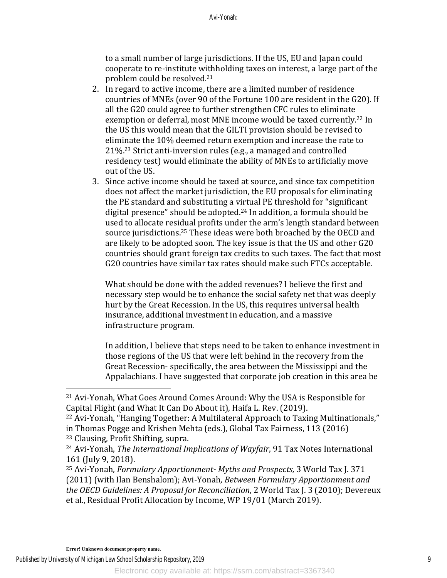to a small number of large jurisdictions. If the US, EU and Japan could cooperate to re-institute withholding taxes on interest, a large part of the problem could be resolved.<sup>21</sup>

- 2. In regard to active income, there are a limited number of residence countries of MNEs (over 90 of the Fortune 100 are resident in the G20). If all the G20 could agree to further strengthen CFC rules to eliminate exemption or deferral, most MNE income would be taxed currently.<sup>22</sup> In the US this would mean that the GILTI provision should be revised to eliminate the 10% deemed return exemption and increase the rate to  $21\%$ <sup>23</sup> Strict anti-inversion rules (e.g., a managed and controlled residency test) would eliminate the ability of MNEs to artificially move out of the US.
- 3. Since active income should be taxed at source, and since tax competition does not affect the market jurisdiction, the EU proposals for eliminating the PE standard and substituting a virtual PE threshold for "significant" digital presence" should be adopted. $24$  In addition, a formula should be used to allocate residual profits under the arm's length standard between source jurisdictions.<sup>25</sup> These ideas were both broached by the OECD and are likely to be adopted soon. The key issue is that the US and other G20 countries should grant foreign tax credits to such taxes. The fact that most G20 countries have similar tax rates should make such FTCs acceptable.

What should be done with the added revenues? I believe the first and necessary step would be to enhance the social safety net that was deeply hurt by the Great Recession. In the US, this requires universal health insurance, additional investment in education, and a massive infrastructure program.

In addition, I believe that steps need to be taken to enhance investment in those regions of the US that were left behind in the recovery from the Great Recession- specifically, the area between the Mississippi and the Appalachians. I have suggested that corporate job creation in this area be

<sup>22</sup> Avi-Yonah, "Hanging Together: A Multilateral Approach to Taxing Multinationals," in Thomas Pogge and Krishen Mehta (eds.), Global Tax Fairness, 113 (2016)

<sup>23</sup> Clausing, Profit Shifting, supra.

 $21$  Avi-Yonah, What Goes Around Comes Around: Why the USA is Responsible for Capital Flight (and What It Can Do About it), Haifa L. Rev. (2019).

<sup>&</sup>lt;sup>24</sup> Avi-Yonah, *The International Implications of Wayfair*, 91 Tax Notes International 161 (July 9, 2018).

<sup>&</sup>lt;sup>25</sup> Avi-Yonah, *Formulary Apportionment- Myths and Prospects*, 3 World Tax J. 371 (2011) (with Ilan Benshalom); Avi-Yonah, *Between Formulary Apportionment and the OECD Guidelines: A Proposal for Reconciliation*, 2 World Tax J. 3 (2010); Devereux et al., Residual Profit Allocation by Income, WP 19/01 (March 2019).